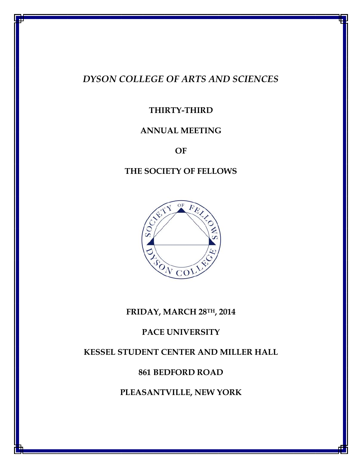# *DYSON COLLEGE OF ARTS AND SCIENCES*

# **THIRTY-THIRD**

# **ANNUAL MEETING**

**OF**

# **THE SOCIETY OF FELLOWS**



# **FRIDAY, MARCH 28TH, 2014**

# **PACE UNIVERSITY**

# **KESSEL STUDENT CENTER AND MILLER HALL**

# **861 BEDFORD ROAD**

# **PLEASANTVILLE, NEW YORK**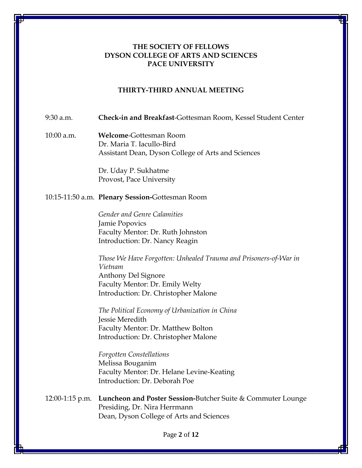## **THE SOCIETY OF FELLOWS DYSON COLLEGE OF ARTS AND SCIENCES PACE UNIVERSITY**

#### **THIRTY-THIRD ANNUAL MEETING**

#### 9:30 a.m. **Check-in and Breakfast**-Gottesman Room, Kessel Student Center

10:00 a.m. **Welcome**-Gottesman Room Dr. Maria T. Iacullo-Bird Assistant Dean, Dyson College of Arts and Sciences

> Dr. Uday P. Sukhatme Provost, Pace University

#### 10:15-11:50 a.m. **Plenary Session-**Gottesman Room

*Gender and Genre Calamities* Jamie Popovics Faculty Mentor: Dr. Ruth Johnston Introduction: Dr. Nancy Reagin

*Those We Have Forgotten: Unhealed Trauma and Prisoners-of-War in Vietnam* Anthony Del Signore Faculty Mentor: Dr. Emily Welty Introduction: Dr. Christopher Malone

*The Political Economy of Urbanization in China* Jessie Meredith Faculty Mentor: Dr. Matthew Bolton Introduction: Dr. Christopher Malone

*Forgotten Constellations* Melissa Bouganim Faculty Mentor: Dr. Helane Levine-Keating Introduction: Dr. Deborah Poe

12:00-1:15 p.m. **Luncheon and Poster Session-**Butcher Suite & Commuter Lounge Presiding, Dr. Nira Herrmann Dean, Dyson College of Arts and Sciences

Page **2** of **12**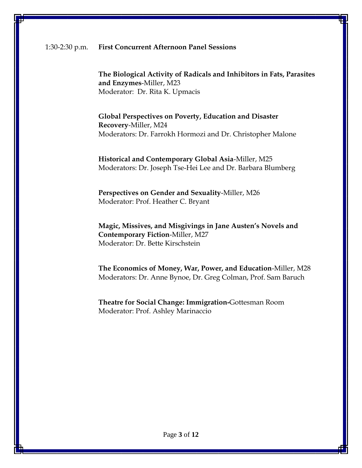**The Biological Activity of Radicals and Inhibitors in Fats, Parasites and Enzymes**-Miller, M23 Moderator: Dr. Rita K. Upmacis

**Global Perspectives on Poverty, Education and Disaster Recovery**-Miller, M24 Moderators: Dr. Farrokh Hormozi and Dr. Christopher Malone

**Historical and Contemporary Global Asia**-Miller, M25 Moderators: Dr. Joseph Tse-Hei Lee and Dr. Barbara Blumberg

**Perspectives on Gender and Sexuality**-Miller, M26 Moderator: Prof. Heather C. Bryant

**Magic, Missives, and Misgivings in Jane Austen's Novels and Contemporary Fiction**-Miller, M27 Moderator: Dr. Bette Kirschstein

**The Economics of Money, War, Power, and Education**-Miller, M28 Moderators: Dr. Anne Bynoe, Dr. Greg Colman, Prof. Sam Baruch

**Theatre for Social Change: Immigration-**Gottesman Room Moderator: Prof. Ashley Marinaccio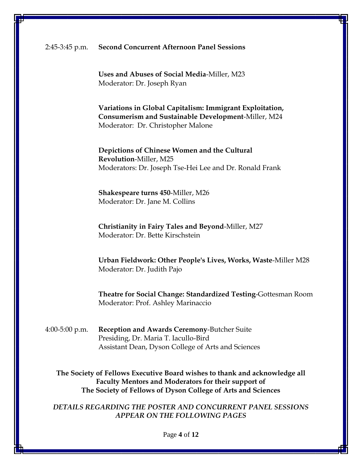#### 2:45-3:45 p.m. **Second Concurrent Afternoon Panel Sessions**

**Uses and Abuses of Social Media**-Miller, M23 Moderator: Dr. Joseph Ryan

**Variations in Global Capitalism: Immigrant Exploitation, Consumerism and Sustainable Development**-Miller, M24 Moderator: Dr. Christopher Malone

**Depictions of Chinese Women and the Cultural Revolution**-Miller, M25 Moderators: Dr. Joseph Tse-Hei Lee and Dr. Ronald Frank

**Shakespeare turns 450**-Miller, M26 Moderator: Dr. Jane M. Collins

**Christianity in Fairy Tales and Beyond**-Miller, M27 Moderator: Dr. Bette Kirschstein

**Urban Fieldwork: Other People's Lives, Works, Waste**-Miller M28 Moderator: Dr. Judith Pajo

**Theatre for Social Change: Standardized Testing**-Gottesman Room Moderator: Prof. Ashley Marinaccio

4:00-5:00 p.m. **Reception and Awards Ceremony**-Butcher Suite Presiding, Dr. Maria T. Iacullo-Bird Assistant Dean, Dyson College of Arts and Sciences

**The Society of Fellows Executive Board wishes to thank and acknowledge all Faculty Mentors and Moderators for their support of The Society of Fellows of Dyson College of Arts and Sciences**

*DETAILS REGARDING THE POSTER AND CONCURRENT PANEL SESSIONS APPEAR ON THE FOLLOWING PAGES*

Page **4** of **12**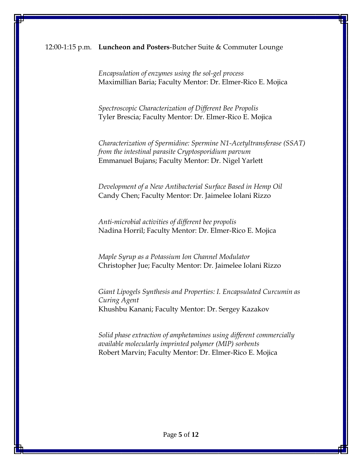## 12:00-1:15 p.m. **Luncheon and Posters**-Butcher Suite & Commuter Lounge

*Encapsulation of enzymes using the sol-gel process* Maximillian Baria; Faculty Mentor: Dr. Elmer-Rico E. Mojica

*Spectroscopic Characterization of Different Bee Propolis* Tyler Brescia; Faculty Mentor: Dr. Elmer-Rico E. Mojica

*Characterization of Spermidine: Spermine N1-Acetyltransferase (SSAT) from the intestinal parasite Cryptosporidium parvum* Emmanuel Bujans; Faculty Mentor: Dr. Nigel Yarlett

*Development of a New Antibacterial Surface Based in Hemp Oil* Candy Chen; Faculty Mentor: Dr. Jaimelee Iolani Rizzo

*Anti-microbial activities of different bee propolis* Nadina Horril; Faculty Mentor: Dr. Elmer-Rico E. Mojica

*Maple Syrup as a Potassium Ion Channel Modulator* Christopher Jue; Faculty Mentor: Dr. Jaimelee Iolani Rizzo

*Giant Lipogels Synthesis and Properties: I. Encapsulated Curcumin as Curing Agent* Khushbu Kanani; Faculty Mentor: Dr. Sergey Kazakov

*Solid phase extraction of amphetamines using different commercially available molecularly imprinted polymer (MIP) sorbents* Robert Marvin; Faculty Mentor: Dr. Elmer-Rico E. Mojica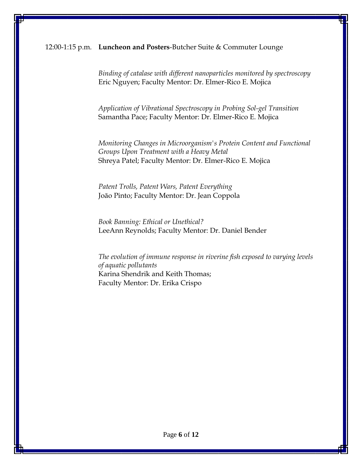#### 12:00-1:15 p.m. **Luncheon and Posters**-Butcher Suite & Commuter Lounge

*Binding of catalase with different nanoparticles monitored by spectroscopy* Eric Nguyen; Faculty Mentor: Dr. Elmer-Rico E. Mojica

*Application of Vibrational Spectroscopy in Probing Sol-gel Transition* Samantha Pace; Faculty Mentor: Dr. Elmer-Rico E. Mojica

*Monitoring Changes in Microorganism's Protein Content and Functional Groups Upon Treatment with a Heavy Metal* Shreya Patel; Faculty Mentor: Dr. Elmer-Rico E. Mojica

*Patent Trolls, Patent Wars, Patent Everything* João Pinto; Faculty Mentor: Dr. Jean Coppola

*Book Banning: Ethical or Unethical?* LeeAnn Reynolds; Faculty Mentor: Dr. Daniel Bender

*The evolution of immune response in riverine fish exposed to varying levels of aquatic pollutants* Karina Shendrik and Keith Thomas; Faculty Mentor: Dr. Erika Crispo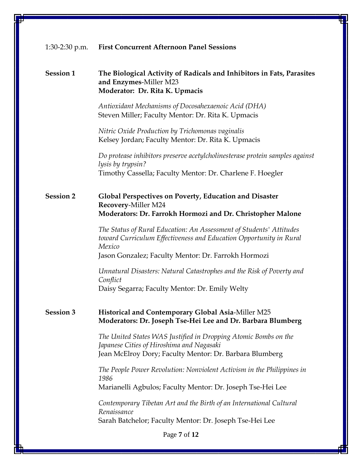## **Session 1 The Biological Activity of Radicals and Inhibitors in Fats, Parasites and Enzymes**-Miller M23 **Moderator: Dr. Rita K. Upmacis**

*Antioxidant Mechanisms of Docosahexaenoic Acid (DHA)* Steven Miller; Faculty Mentor: Dr. Rita K. Upmacis

*Nitric Oxide Production by Trichomonas vaginalis* Kelsey Jordan; Faculty Mentor: Dr. Rita K. Upmacis

*Do protease inhibitors preserve acetylcholinesterase protein samples against lysis by trypsin?* Timothy Cassella; Faculty Mentor: Dr. Charlene F. Hoegler

## **Session 2 Global Perspectives on Poverty, Education and Disaster Recovery**-Miller M24 **Moderators: Dr. Farrokh Hormozi and Dr. Christopher Malone**

*The Status of Rural Education: An Assessment of Students' Attitudes toward Curriculum Effectiveness and Education Opportunity in Rural Mexico* Jason Gonzalez; Faculty Mentor: Dr. Farrokh Hormozi

*Unnatural Disasters: Natural Catastrophes and the Risk of Poverty and Conflict* Daisy Segarra; Faculty Mentor: Dr. Emily Welty

## **Session 3 Historical and Contemporary Global Asia**-Miller M25 **Moderators: Dr. Joseph Tse-Hei Lee and Dr. Barbara Blumberg**

*The United States WAS Justified in Dropping Atomic Bombs on the Japanese Cities of Hiroshima and Nagasaki* Jean McElroy Dory; Faculty Mentor: Dr. Barbara Blumberg

*The People Power Revolution: Nonviolent Activism in the Philippines in 1986* Marianelli Agbulos; Faculty Mentor: Dr. Joseph Tse-Hei Lee

*Contemporary Tibetan Art and the Birth of an International Cultural Renaissance* Sarah Batchelor; Faculty Mentor: Dr. Joseph Tse-Hei Lee

Page **7** of **12**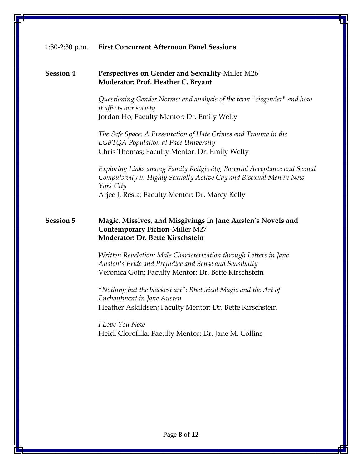## **Session 4 Perspectives on Gender and Sexuality**-Miller M26 **Moderator: Prof. Heather C. Bryant**

*Questioning Gender Norms: and analysis of the term "cisgender" and how it affects our society* Jordan Ho; Faculty Mentor: Dr. Emily Welty

*The Safe Space: A Presentation of Hate Crimes and Trauma in the LGBTQA Population at Pace University* Chris Thomas; Faculty Mentor: Dr. Emily Welty

*Exploring Links among Family Religiosity, Parental Acceptance and Sexual Compulsivity in Highly Sexually Active Gay and Bisexual Men in New York City* Arjee J. Resta; Faculty Mentor: Dr. Marcy Kelly

### **Session 5 Magic, Missives, and Misgivings in Jane Austen's Novels and Contemporary Fiction**-Miller M27 **Moderator: Dr. Bette Kirschstein**

*Written Revelation: Male Characterization through Letters in Jane Austen's Pride and Prejudice and Sense and Sensibility* Veronica Goin; Faculty Mentor: Dr. Bette Kirschstein

*"Nothing but the blackest art": Rhetorical Magic and the Art of Enchantment in Jane Austen* Heather Askildsen; Faculty Mentor: Dr. Bette Kirschstein

*I Love You Now* Heidi Clorofilla; Faculty Mentor: Dr. Jane M. Collins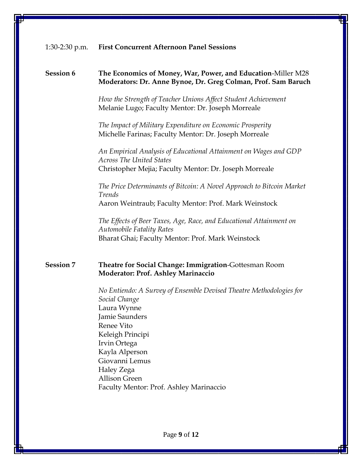## **Session 6 The Economics of Money, War, Power, and Education**-Miller M28 **Moderators: Dr. Anne Bynoe, Dr. Greg Colman, Prof. Sam Baruch**

*How the Strength of Teacher Unions Affect Student Achievement* Melanie Lugo; Faculty Mentor: Dr. Joseph Morreale

*The Impact of Military Expenditure on Economic Prosperity* Michelle Farinas; Faculty Mentor: Dr. Joseph Morreale

*An Empirical Analysis of Educational Attainment on Wages and GDP Across The United States* Christopher Mejia; Faculty Mentor: Dr. Joseph Morreale

*The Price Determinants of Bitcoin: A Novel Approach to Bitcoin Market Trends* Aaron Weintraub; Faculty Mentor: Prof. Mark Weinstock

*The Effects of Beer Taxes, Age, Race, and Educational Attainment on Automobile Fatality Rates* Bharat Ghai; Faculty Mentor: Prof. Mark Weinstock

## **Session 7 Theatre for Social Change: Immigration**-Gottesman Room **Moderator: Prof. Ashley Marinaccio**

*No Entiendo: A Survey of Ensemble Devised Theatre Methodologies for Social Change* Laura Wynne Jamie Saunders Renee Vito Keleigh Principi Irvin Ortega Kayla Alperson Giovanni Lemus Haley Zega Allison Green Faculty Mentor: Prof. Ashley Marinaccio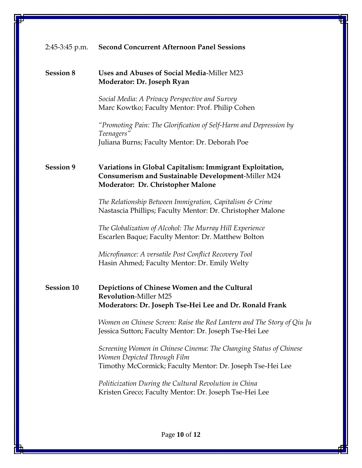# 2:45-3:45 p.m. **Second Concurrent Afternoon Panel Sessions Session 8 Uses and Abuses of Social Media**-Miller M23 **Moderator: Dr. Joseph Ryan** *Social Media: A Privacy Perspective and Survey* Marc Kowtko; Faculty Mentor: Prof. Philip Cohen *"Promoting Pain: The Glorification of Self-Harm and Depression by Teenagers"* Juliana Burns; Faculty Mentor: Dr. Deborah Poe **Session 9 Variations in Global Capitalism: Immigrant Exploitation, Consumerism and Sustainable Development**-Miller M24 **Moderator: Dr. Christopher Malone** *The Relationship Between Immigration, Capitalism & Crime*  Nastascia Phillips; Faculty Mentor: Dr. Christopher Malone *The Globalization of Alcohol: The Murray Hill Experience* Escarlen Baque; Faculty Mentor: Dr. Matthew Bolton *Microfinance: A versatile Post Conflict Recovery Tool* Hasin Ahmed; Faculty Mentor: Dr. Emily Welty **Session 10 Depictions of Chinese Women and the Cultural Revolution**-Miller M25 **Moderators: Dr. Joseph Tse-Hei Lee and Dr. Ronald Frank** *Women on Chinese Screen: Raise the Red Lantern and The Story of Qiu Ju* Jessica Sutton; Faculty Mentor: Dr. Joseph Tse-Hei Lee *Screening Women in Chinese Cinema: The Changing Status of Chinese Women Depicted Through Film* Timothy McCormick; Faculty Mentor: Dr. Joseph Tse-Hei Lee *Politicization During the Cultural Revolution in China* Kristen Greco; Faculty Mentor: Dr. Joseph Tse-Hei Lee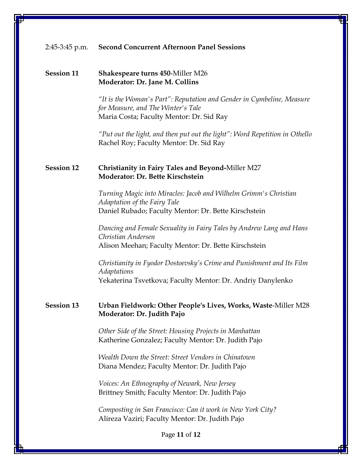#### 2:45-3:45 p.m. **Second Concurrent Afternoon Panel Sessions**

#### **Session 11 Shakespeare turns 450**-Miller M26 **Moderator: Dr. Jane M. Collins**

*"It is the Woman's Part": Reputation and Gender in Cymbeline, Measure for Measure, and The Winter's Tale* Maria Costa; Faculty Mentor: Dr. Sid Ray

*"Put out the light, and then put out the light": Word Repetition in Othello* Rachel Roy; Faculty Mentor: Dr. Sid Ray

## **Session 12 Christianity in Fairy Tales and Beyond-**Miller M27 **Moderator: Dr. Bette Kirschstein**

*Turning Magic into Miracles: Jacob and Wilhelm Grimm's Christian Adaptation of the Fairy Tale* Daniel Rubado; Faculty Mentor: Dr. Bette Kirschstein

*Dancing and Female Sexuality in Fairy Tales by Andrew Lang and Hans Christian Andersen* Alison Meehan; Faculty Mentor: Dr. Bette Kirschstein

*Christianity in Fyodor Dostoevsky's Crime and Punishment and Its Film Adaptations* Yekaterina Tsvetkova; Faculty Mentor: Dr. Andriy Danylenko

## **Session 13 Urban Fieldwork: Other People's Lives, Works, Waste**-Miller M28 **Moderator: Dr. Judith Pajo**

*Other Side of the Street: Housing Projects in Manhattan* Katherine Gonzalez; Faculty Mentor: Dr. Judith Pajo

*Wealth Down the Street: Street Vendors in Chinatown* Diana Mendez; Faculty Mentor: Dr. Judith Pajo

*Voices: An Ethnography of Newark, New Jersey* Brittney Smith; Faculty Mentor: Dr. Judith Pajo

*Composting in San Francisco: Can it work in New York City?* Alireza Vaziri; Faculty Mentor: Dr. Judith Pajo

Page **11** of **12**